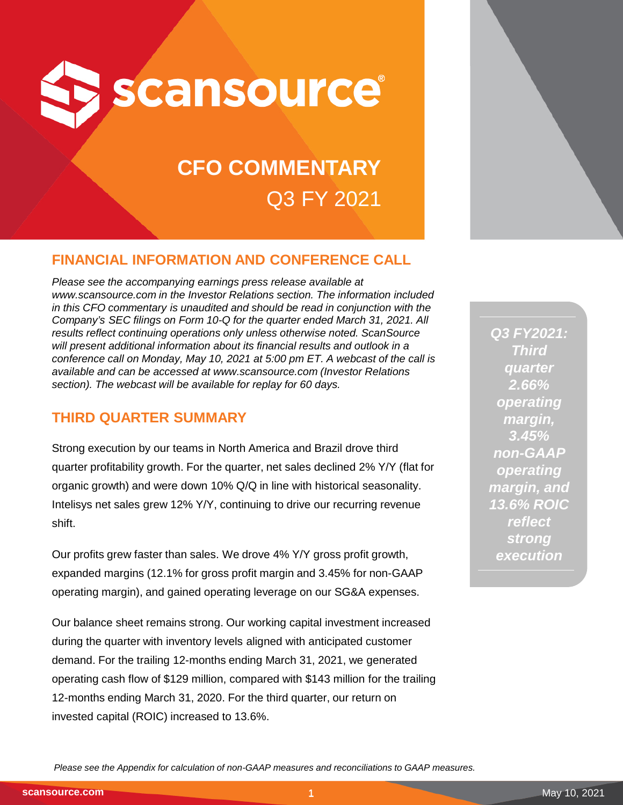

# **CFO COMMENTARY** Q3 FY 2021

# **FINANCIAL INFORMATION AND CONFERENCE CALL**

*Please see the accompanying earnings press release available at www.scansource.com in the Investor Relations section. The information included in this CFO commentary is unaudited and should be read in conjunction with the Company's SEC filings on Form 10-Q for the quarter ended March 31, 2021. All results reflect continuing operations only unless otherwise noted. ScanSource*  will present additional information about its financial results and outlook in a *conference call on Monday, May 10, 2021 at 5:00 pm ET. A webcast of the call is available and can be accessed at www.scansource.com (Investor Relations section). The webcast will be available for replay for 60 days.*

# **THIRD QUARTER SUMMARY**

Strong execution by our teams in North America and Brazil drove third quarter profitability growth. For the quarter, net sales declined 2% Y/Y (flat for organic growth) and were down 10% Q/Q in line with historical seasonality. Intelisys net sales grew 12% Y/Y, continuing to drive our recurring revenue shift.

Our profits grew faster than sales. We drove 4% Y/Y gross profit growth, expanded margins (12.1% for gross profit margin and 3.45% for non-GAAP operating margin), and gained operating leverage on our SG&A expenses.

Our balance sheet remains strong. Our working capital investment increased during the quarter with inventory levels aligned with anticipated customer demand. For the trailing 12-months ending March 31, 2021, we generated operating cash flow of \$129 million, compared with \$143 million for the trailing 12-months ending March 31, 2020. For the third quarter, our return on invested capital (ROIC) increased to 13.6%.



*Please see the Appendix for calculation of non-GAAP measures and reconciliations to GAAP measures.* 

**scansource.com**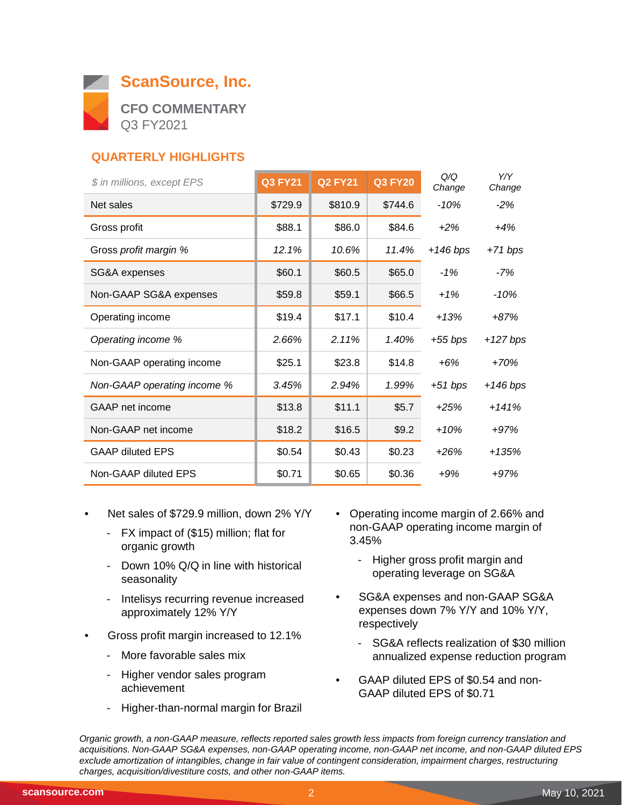

# **QUARTERLY HIGHLIGHTS**

| \$ in millions, except EPS  | <b>Q3 FY21</b> | <b>Q2 FY21</b> | <b>Q3 FY20</b> | Q/Q<br>Change | Y/Y<br>Change |
|-----------------------------|----------------|----------------|----------------|---------------|---------------|
| Net sales                   | \$729.9        | \$810.9        | \$744.6        | $-10%$        | $-2%$         |
| Gross profit                | \$88.1         | \$86.0         | \$84.6         | $+2\%$        | $+4%$         |
| Gross profit margin %       | 12.1%          | 10.6%          | 11.4%          | $+146$ bps    | $+71 bps$     |
| SG&A expenses               | \$60.1         | \$60.5         | \$65.0         | $-1%$         | -7%           |
| Non-GAAP SG&A expenses      | \$59.8         | \$59.1         | \$66.5         | $+1%$         | $-10%$        |
| Operating income            | \$19.4         | \$17.1         | \$10.4         | $+13%$        | $+87%$        |
| Operating income %          | 2.66%          | 2.11%          | 1.40%          | +55 bps       | $+127$ bps    |
| Non-GAAP operating income   | \$25.1         | \$23.8         | \$14.8         | $+6%$         | $+70%$        |
| Non-GAAP operating income % | 3.45%          | 2.94%          | 1.99%          | $+51 bps$     | $+146$ bps    |
| <b>GAAP</b> net income      | \$13.8         | \$11.1         | \$5.7          | $+25%$        | $+141%$       |
| Non-GAAP net income         | \$18.2         | \$16.5         | \$9.2          | $+10%$        | $+97%$        |
| <b>GAAP diluted EPS</b>     | \$0.54         | \$0.43         | \$0.23         | $+26%$        | $+135%$       |
| Non-GAAP diluted EPS        | \$0.71         | \$0.65         | \$0.36         | $+9%$         | $+97%$        |

- Net sales of \$729.9 million, down 2% Y/Y
	- FX impact of (\$15) million; flat for organic growth
	- Down 10% Q/Q in line with historical seasonality
	- Intelisys recurring revenue increased approximately 12% Y/Y
- Gross profit margin increased to 12.1%
	- More favorable sales mix
	- Higher vendor sales program achievement
	- Higher-than-normal margin for Brazil
- Operating income margin of 2.66% and non-GAAP operating income margin of 3.45%
	- Higher gross profit margin and operating leverage on SG&A
- SG&A expenses and non-GAAP SG&A expenses down 7% Y/Y and 10% Y/Y, respectively
	- SG&A reflects realization of \$30 million annualized expense reduction program
- GAAP diluted EPS of \$0.54 and non-GAAP diluted EPS of \$0.71

*Organic growth, a non-GAAP measure, reflects reported sales growth less impacts from foreign currency translation and acquisitions. Non-GAAP SG&A expenses, non-GAAP operating income, non-GAAP net income, and non-GAAP diluted EPS exclude amortization of intangibles, change in fair value of contingent consideration, impairment charges, restructuring charges, acquisition/divestiture costs, and other non-GAAP items.*  $\overline{\phantom{0}}$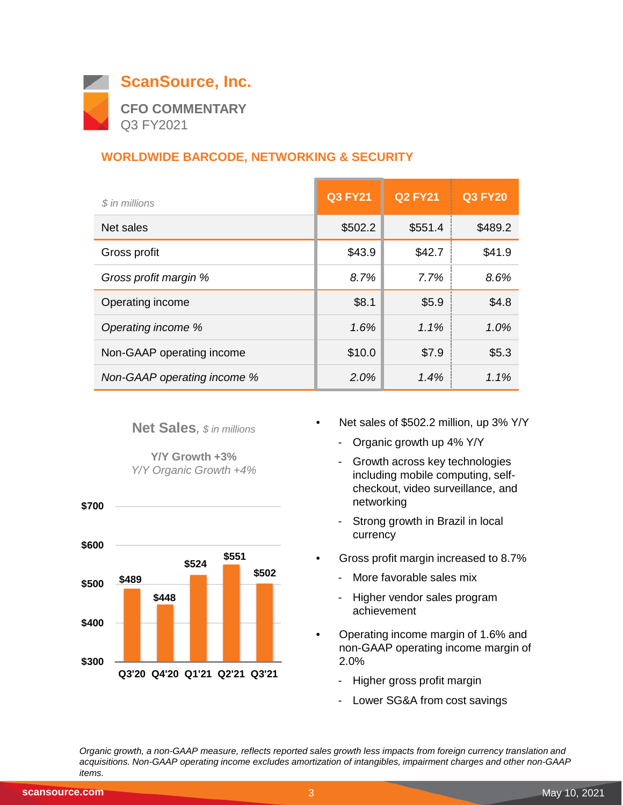

# **WORLDWIDE BARCODE, NETWORKING & SECURITY**

| \$ in millions              | <b>Q3 FY21</b> | <b>Q2 FY21</b> | <b>Q3 FY20</b> |
|-----------------------------|----------------|----------------|----------------|
| Net sales                   | \$502.2        | \$551.4        | \$489.2        |
| Gross profit                | \$43.9         | \$42.7         | \$41.9         |
| Gross profit margin %       | 8.7%           | 7.7%           | 8.6%           |
| Operating income            | \$8.1          | \$5.9          | \$4.8          |
| Operating income %          | 1.6%           | $1.1\%$        | 1.0%           |
| Non-GAAP operating income   | \$10.0         | \$7.9          | \$5.3          |
| Non-GAAP operating income % | 2.0%           | 1.4%           | 1.1%           |

#### **Net Sales***, \$ in millions*

**Y/Y Growth +3%** *Y/Y Organic Growth +4%*



- Net sales of \$502.2 million, up 3% Y/Y
	- Organic growth up 4% Y/Y
	- Growth across key technologies including mobile computing, selfcheckout, video surveillance, and networking
	- Strong growth in Brazil in local currency
- Gross profit margin increased to 8.7%
	- More favorable sales mix
	- Higher vendor sales program achievement
- Operating income margin of 1.6% and non-GAAP operating income margin of 2.0%
	- Higher gross profit margin
	- Lower SG&A from cost savings

*Organic growth, a non-GAAP measure, reflects reported sales growth less impacts from foreign currency translation and acquisitions. Non-GAAP operating income excludes amortization of intangibles, impairment charges and other non-GAAP items.*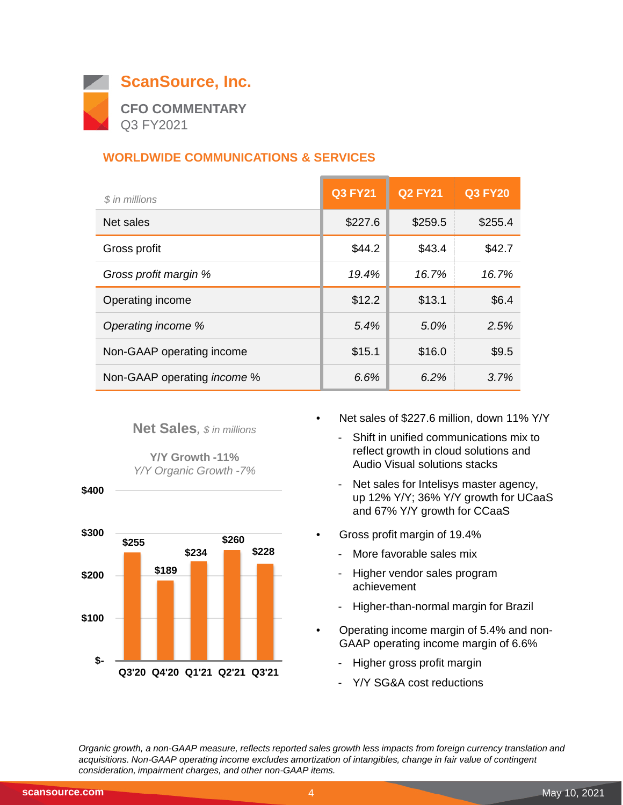

# **WORLDWIDE COMMUNICATIONS & SERVICES**

| \$ in millions                     | <b>Q3 FY21</b> | <b>Q2 FY21</b> | <b>Q3 FY20</b> |
|------------------------------------|----------------|----------------|----------------|
| Net sales                          | \$227.6        | \$259.5        | \$255.4        |
| Gross profit                       | \$44.2         | \$43.4         | \$42.7         |
| Gross profit margin %              | 19.4%          | 16.7%          | 16.7%          |
| Operating income                   | \$12.2         | \$13.1         | \$6.4          |
| Operating income %                 | 5.4%           | 5.0%           | 2.5%           |
| Non-GAAP operating income          | \$15.1         | \$16.0         | \$9.5          |
| Non-GAAP operating <i>income</i> % | 6.6%           | 6.2%           | 3.7%           |

#### **Net Sales***, \$ in millions*

**Y/Y Growth -11%** *Y/Y Organic Growth -7%*





- Net sales of \$227.6 million, down 11% Y/Y
	- Shift in unified communications mix to reflect growth in cloud solutions and Audio Visual solutions stacks
	- Net sales for Intelisys master agency, up 12% Y/Y; 36% Y/Y growth for UCaaS and 67% Y/Y growth for CCaaS
- Gross profit margin of 19.4%
	- More favorable sales mix
	- Higher vendor sales program achievement
	- Higher-than-normal margin for Brazil
- Operating income margin of 5.4% and non-GAAP operating income margin of 6.6%
	- Higher gross profit margin
	- Y/Y SG&A cost reductions

*Organic growth, a non-GAAP measure, reflects reported sales growth less impacts from foreign currency translation and acquisitions. Non-GAAP operating income excludes amortization of intangibles, change in fair value of contingent consideration, impairment charges, and other non-GAAP items.*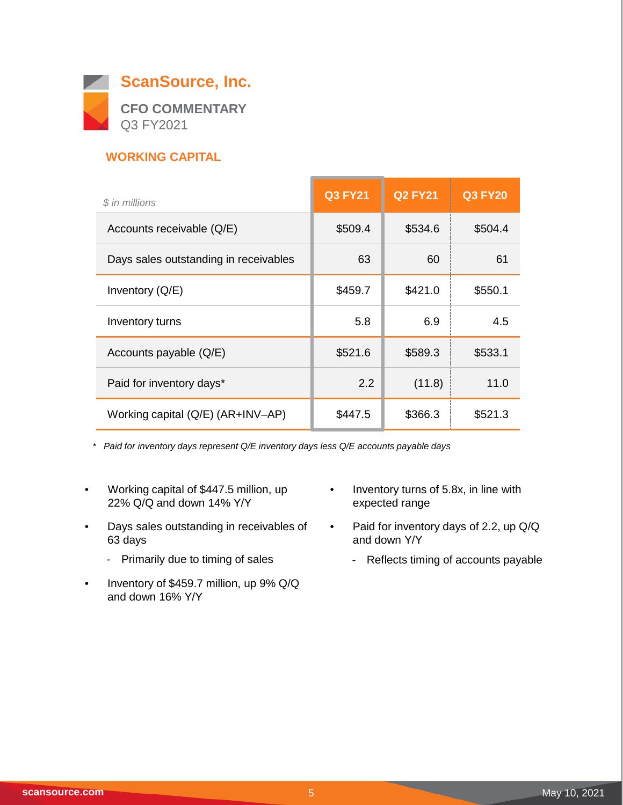

## **WORKING CAPITAL**

| \$ in millions                        | <b>Q3 FY21</b> | <b>Q2 FY21</b> | <b>Q3 FY20</b> |
|---------------------------------------|----------------|----------------|----------------|
| Accounts receivable (Q/E)             | \$509.4        | \$534.6        | \$504.4        |
| Days sales outstanding in receivables | 63             | 60             | 61             |
| Inventory $(Q/E)$                     | \$459.7        | \$421.0        | \$550.1        |
| Inventory turns                       | 5.8            | 6.9            | 4.5            |
| Accounts payable (Q/E)                | \$521.6        | \$589.3        | \$533.1        |
| Paid for inventory days*              | 2.2            | (11.8)         | 11.0           |
| Working capital (Q/E) (AR+INV-AP)     | \$447.5        | \$366.3        | \$521.3        |

*\* Paid for inventory days represent Q/E inventory days less Q/E accounts payable days*

- Working capital of \$447.5 million, up 22% Q/Q and down 14% Y/Y
- Days sales outstanding in receivables of 63 days
	- Primarily due to timing of sales
- Inventory of \$459.7 million, up 9% Q/Q and down 16% Y/Y
- Inventory turns of 5.8x, in line with expected range

 $\overline{\phantom{0}}$ 

- Paid for inventory days of 2.2, up Q/Q and down Y/Y
	- Reflects timing of accounts payable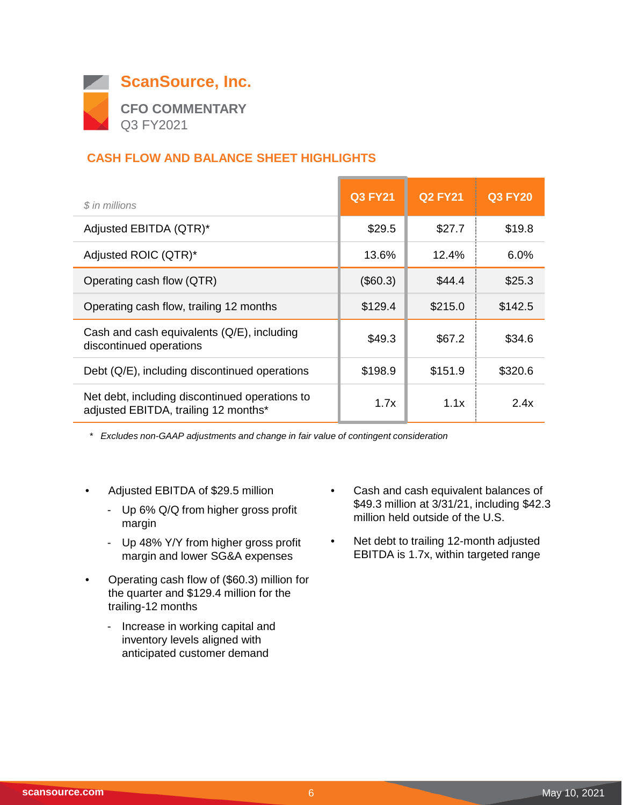

# **CASH FLOW AND BALANCE SHEET HIGHLIGHTS**

| \$ in millions                                                                         | <b>Q3 FY21</b> | <b>Q2 FY21</b> | <b>Q3 FY20</b> |
|----------------------------------------------------------------------------------------|----------------|----------------|----------------|
| Adjusted EBITDA (QTR)*                                                                 | \$29.5         | \$27.7         | \$19.8         |
| Adjusted ROIC (QTR)*                                                                   | 13.6%          | 12.4%          | 6.0%           |
| Operating cash flow (QTR)                                                              | (\$60.3)       | \$44.4         | \$25.3         |
| Operating cash flow, trailing 12 months                                                | \$129.4        | \$215.0        | \$142.5        |
| Cash and cash equivalents (Q/E), including<br>discontinued operations                  | \$49.3         | \$67.2         | \$34.6         |
| Debt (Q/E), including discontinued operations                                          | \$198.9        | \$151.9        | \$320.6        |
| Net debt, including discontinued operations to<br>adjusted EBITDA, trailing 12 months* | 1.7x           | 1.1x           | 2.4x           |

*\* Excludes non-GAAP adjustments and change in fair value of contingent consideration*

- Adjusted EBITDA of \$29.5 million
	- Up 6% Q/Q from higher gross profit margin
	- Up 48% Y/Y from higher gross profit margin and lower SG&A expenses
- Operating cash flow of (\$60.3) million for the quarter and \$129.4 million for the trailing-12 months
	- Increase in working capital and inventory levels aligned with anticipated customer demand
- Cash and cash equivalent balances of \$49.3 million at 3/31/21, including \$42.3 million held outside of the U.S.
- Net debt to trailing 12-month adjusted EBITDA is 1.7x, within targeted range

 $\overline{\phantom{0}}$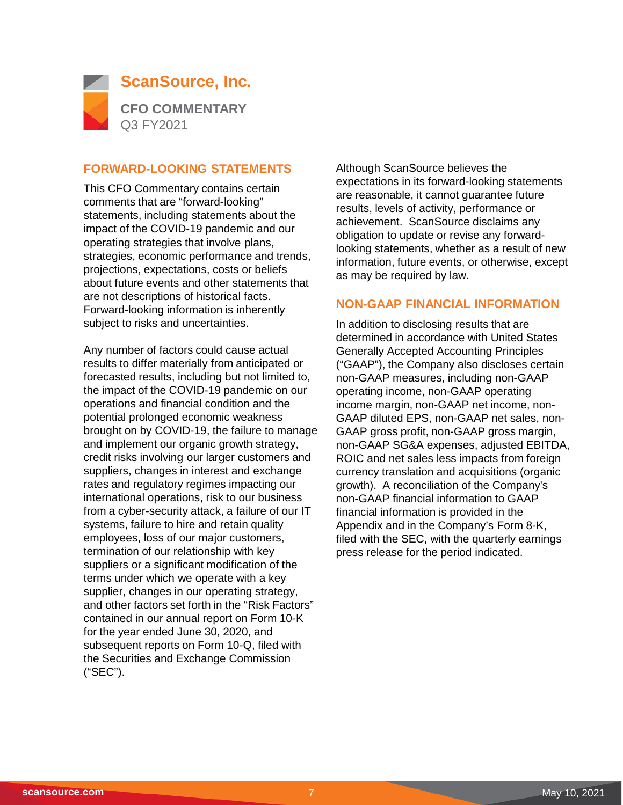

#### **FORWARD-LOOKING STATEMENTS**

This CFO Commentary contains certain comments that are "forward-looking" statements, including statements about the impact of the COVID-19 pandemic and our operating strategies that involve plans, strategies, economic performance and trends, projections, expectations, costs or beliefs about future events and other statements that are not descriptions of historical facts. Forward-looking information is inherently subject to risks and uncertainties.

Any number of factors could cause actual results to differ materially from anticipated or forecasted results, including but not limited to, the impact of the COVID-19 pandemic on our operations and financial condition and the potential prolonged economic weakness brought on by COVID-19, the failure to manage and implement our organic growth strategy, credit risks involving our larger customers and suppliers, changes in interest and exchange rates and regulatory regimes impacting our international operations, risk to our business from a cyber-security attack, a failure of our IT systems, failure to hire and retain quality employees, loss of our major customers, termination of our relationship with key suppliers or a significant modification of the terms under which we operate with a key supplier, changes in our operating strategy, and other factors set forth in the "Risk Factors" contained in our annual report on Form 10-K for the year ended June 30, 2020, and subsequent reports on Form 10-Q, filed with the Securities and Exchange Commission ("SEC").

Although ScanSource believes the expectations in its forward-looking statements are reasonable, it cannot guarantee future results, levels of activity, performance or achievement. ScanSource disclaims any obligation to update or revise any forwardlooking statements, whether as a result of new information, future events, or otherwise, except as may be required by law.

#### **NON-GAAP FINANCIAL INFORMATION**

In addition to disclosing results that are determined in accordance with United States Generally Accepted Accounting Principles ("GAAP"), the Company also discloses certain non-GAAP measures, including non-GAAP operating income, non-GAAP operating income margin, non-GAAP net income, non-GAAP diluted EPS, non-GAAP net sales, non-GAAP gross profit, non-GAAP gross margin, non-GAAP SG&A expenses, adjusted EBITDA, ROIC and net sales less impacts from foreign currency translation and acquisitions (organic growth). A reconciliation of the Company's non-GAAP financial information to GAAP financial information is provided in the Appendix and in the Company's Form 8-K, filed with the SEC, with the quarterly earnings press release for the period indicated.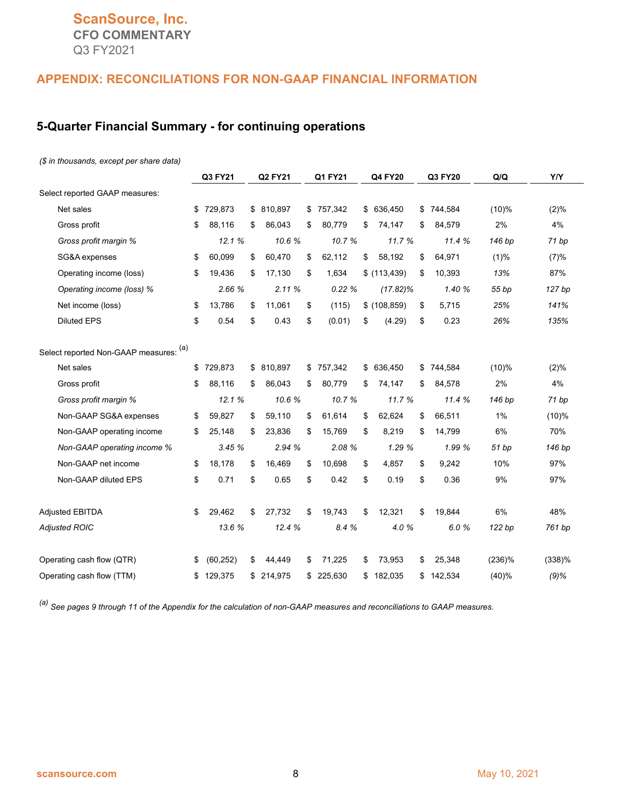# **ScanSource, Inc. CFO COMMENTARY** Q3 FY2021

#### **APPENDIX: RECONCILIATIONS FOR NON-GAAP FINANCIAL INFORMATION**

#### **5-Quarter Financial Summary - for continuing operations**

#### *(\$ in thousands, except per share data)*

|                                        | Q3 FY21<br>Q2 FY21<br>Q1 FY21 |           |               | Q4 FY20 |           | Q3 FY20 |              | Q/Q | Y/Y     |          |         |
|----------------------------------------|-------------------------------|-----------|---------------|---------|-----------|---------|--------------|-----|---------|----------|---------|
| Select reported GAAP measures:         |                               |           |               |         |           |         |              |     |         |          |         |
| Net sales                              | \$                            | 729,873   | \$ 810,897    | \$      | 757,342   | \$      | 636,450      | \$  | 744,584 | $(10)\%$ | (2)%    |
| Gross profit                           | \$                            | 88,116    | \$<br>86,043  | \$      | 80,779    | \$      | 74,147       | \$  | 84,579  | 2%       | 4%      |
| Gross profit margin %                  |                               | 12.1 %    | 10.6%         |         | 10.7%     |         | 11.7 %       |     | 11.4%   | 146 bp   | 71 bp   |
| SG&A expenses                          | \$                            | 60,099    | \$<br>60,470  | \$      | 62,112    | \$      | 58,192       | \$  | 64,971  | $(1)\%$  | (7)%    |
| Operating income (loss)                | \$                            | 19,436    | \$<br>17,130  | \$      | 1,634     |         | \$(113, 439) | \$  | 10,393  | 13%      | 87%     |
| Operating income (loss) %              |                               | 2.66 %    | 2.11%         |         | 0.22%     |         | $(17.82)\%$  |     | 1.40 %  | 55 bp    | 127 bp  |
| Net income (loss)                      | \$                            | 13,786    | \$<br>11,061  | \$      | (115)     |         | \$(108, 859) | \$  | 5,715   | 25%      | 141%    |
| <b>Diluted EPS</b>                     | \$                            | 0.54      | \$<br>0.43    | \$      | (0.01)    | \$      | (4.29)       | \$  | 0.23    | 26%      | 135%    |
| Select reported Non-GAAP measures: (a) |                               |           |               |         |           |         |              |     |         |          |         |
| Net sales                              | \$                            | 729,873   | \$ 810,897    | \$      | 757,342   | \$      | 636,450      | \$  | 744,584 | $(10)\%$ | (2)%    |
| Gross profit                           | \$                            | 88,116    | \$<br>86,043  | \$      | 80,779    | \$      | 74,147       | \$  | 84,578  | 2%       | 4%      |
| Gross profit margin %                  |                               | 12.1%     | 10.6%         |         | 10.7%     |         | 11.7 %       |     | 11.4 %  | 146 bp   | 71bp    |
| Non-GAAP SG&A expenses                 | \$                            | 59,827    | \$<br>59,110  | \$      | 61,614    | \$      | 62,624       | \$  | 66,511  | 1%       | (10)%   |
| Non-GAAP operating income              | \$                            | 25,148    | \$<br>23,836  | \$      | 15,769    | \$      | 8,219        | \$  | 14,799  | 6%       | 70%     |
| Non-GAAP operating income %            |                               | 3.45%     | 2.94 %        |         | 2.08 %    |         | 1.29 %       |     | 1.99 %  | 51 bp    | 146 bp  |
| Non-GAAP net income                    | \$                            | 18,178    | \$<br>16,469  | \$      | 10,698    | \$      | 4,857        | \$  | 9,242   | 10%      | 97%     |
| Non-GAAP diluted EPS                   | \$                            | 0.71      | \$<br>0.65    | \$      | 0.42      | \$      | 0.19         | \$  | 0.36    | 9%       | 97%     |
| <b>Adjusted EBITDA</b>                 | \$                            | 29,462    | \$<br>27,732  | \$      | 19,743    | \$      | 12,321       | \$  | 19,844  | 6%       | 48%     |
| <b>Adjusted ROIC</b>                   |                               | 13.6 %    | 12.4 %        |         | 8.4 %     |         | 4.0%         |     | 6.0%    | 122 bp   | 761 bp  |
| Operating cash flow (QTR)              | \$                            | (60, 252) | \$<br>44,449  | \$      | 71,225    | \$      | 73,953       | \$  | 25,348  | (236)%   | (338)%  |
| Operating cash flow (TTM)              | \$                            | 129,375   | \$<br>214,975 |         | \$225,630 | \$      | 182,035      | \$  | 142,534 | (40)%    | $(9)$ % |

*(a) See pages 9 through 11 of the Appendix for the calculation of non-GAAP measures and reconciliations to GAAP measures.*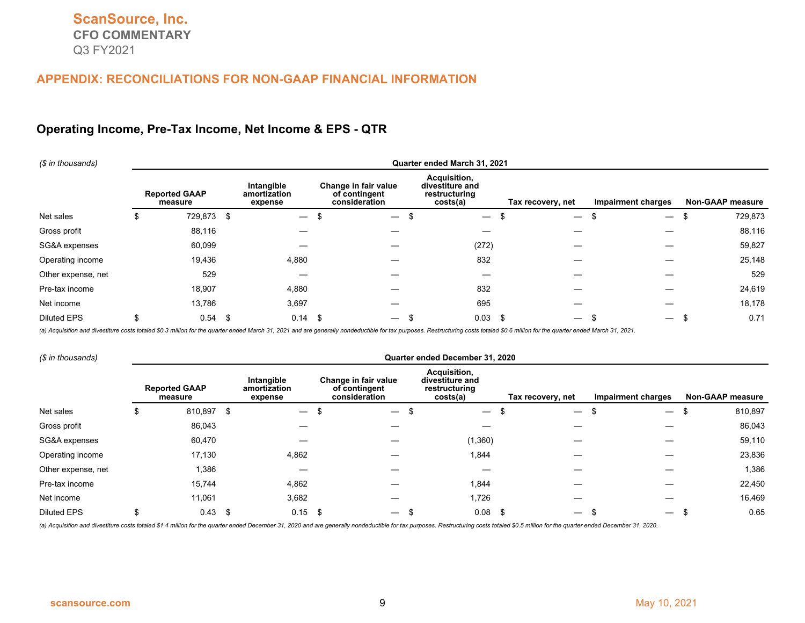#### **Operating Income, Pre-Tax Income, Net Income & EPS - QTR**

| (\$ in thousands)  |   | Quarter ended March 31, 2021    |      |                                       |  |                                                        |  |                                                              |  |                                  |                          |    |                         |
|--------------------|---|---------------------------------|------|---------------------------------------|--|--------------------------------------------------------|--|--------------------------------------------------------------|--|----------------------------------|--------------------------|----|-------------------------|
|                    |   | <b>Reported GAAP</b><br>measure |      | Intangible<br>amortization<br>expense |  | Change in fair value<br>of contingent<br>consideration |  | Acquisition,<br>divestiture and<br>restructuring<br>costs(a) |  | Tax recovery, net                | Impairment charges       |    | <b>Non-GAAP measure</b> |
| Net sales          | S | 729,873                         | - \$ | $\overline{\phantom{0}}$              |  | $\overline{\phantom{m}}$                               |  | $\overline{\phantom{m}}$                                     |  | $\overline{\phantom{0}}$         | $\overline{\phantom{m}}$ | \$ | 729,873                 |
| Gross profit       |   | 88,116                          |      |                                       |  |                                                        |  |                                                              |  |                                  |                          |    | 88,116                  |
| SG&A expenses      |   | 60,099                          |      |                                       |  |                                                        |  | (272)                                                        |  |                                  |                          |    | 59,827                  |
| Operating income   |   | 19,436                          |      | 4,880                                 |  |                                                        |  | 832                                                          |  |                                  |                          |    | 25,148                  |
| Other expense, net |   | 529                             |      |                                       |  |                                                        |  |                                                              |  |                                  |                          |    | 529                     |
| Pre-tax income     |   | 18,907                          |      | 4,880                                 |  |                                                        |  | 832                                                          |  |                                  |                          |    | 24,619                  |
| Net income         |   | 13,786                          |      | 3,697                                 |  |                                                        |  | 695                                                          |  |                                  |                          |    | 18,178                  |
| <b>Diluted EPS</b> |   | 0.54                            | -\$  | $0.14$ \$                             |  | $\overline{\phantom{m}}$                               |  | 0.03                                                         |  | - \$<br>$\overline{\phantom{0}}$ | $\overline{\phantom{m}}$ | J. | 0.71                    |

(a) Acquisition and divestiture costs totaled \$0.3 million for the quarter ended March 31, 2021 and are generally nondeductible for tax purposes. Restructuring costs totaled \$0.6 million for the quarter ended March 31, 202

| (\$ in thousands)  |    | Quarter ended December 31, 2020 |      |                                       |    |                                                        |  |                                                              |  |                          |    |                           |  |                         |
|--------------------|----|---------------------------------|------|---------------------------------------|----|--------------------------------------------------------|--|--------------------------------------------------------------|--|--------------------------|----|---------------------------|--|-------------------------|
|                    |    | <b>Reported GAAP</b><br>measure |      | Intangible<br>amortization<br>expense |    | Change in fair value<br>of contingent<br>consideration |  | Acquisition,<br>divestiture and<br>restructuring<br>costs(a) |  | Tax recovery, net        |    | <b>Impairment charges</b> |  | <b>Non-GAAP measure</b> |
| Net sales          | P. | 810,897                         | - \$ | $\overline{\phantom{0}}$              | -S | $\overline{\phantom{a}}$                               |  | $\overline{\phantom{0}}$                                     |  | $\overline{\phantom{0}}$ | \$ | $\overline{\phantom{0}}$  |  | 810,897                 |
| Gross profit       |    | 86,043                          |      |                                       |    |                                                        |  |                                                              |  |                          |    |                           |  | 86,043                  |
| SG&A expenses      |    | 60,470                          |      |                                       |    |                                                        |  | (1,360)                                                      |  |                          |    |                           |  | 59,110                  |
| Operating income   |    | 17,130                          |      | 4,862                                 |    |                                                        |  | 1,844                                                        |  |                          |    |                           |  | 23,836                  |
| Other expense, net |    | 1,386                           |      |                                       |    |                                                        |  |                                                              |  |                          |    |                           |  | 1,386                   |
| Pre-tax income     |    | 15,744                          |      | 4,862                                 |    |                                                        |  | 1,844                                                        |  |                          |    |                           |  | 22,450                  |
| Net income         |    | 11,061                          |      | 3,682                                 |    |                                                        |  | 1,726                                                        |  |                          |    |                           |  | 16,469                  |
| <b>Diluted EPS</b> | ъ. | 0.43                            | - \$ | $0.15$ \$                             |    | $\overline{\phantom{0}}$                               |  | 0.08                                                         |  | - \$                     | J. | $\overline{\phantom{0}}$  |  | 0.65                    |

(a) Acquisition and divestiture costs totaled \$1.4 million for the quarter ended December 31, 2020 and are generally nondeductible for tax purposes. Restructuring costs totaled \$0.5 million for the quarter ended December 3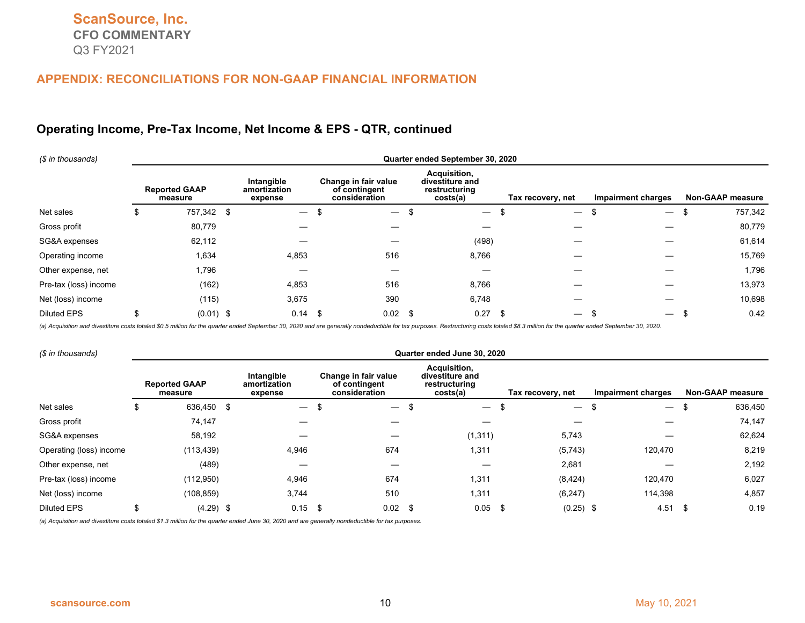#### **Operating Income, Pre-Tax Income, Net Income & EPS - QTR, continued**

| (\$ in thousands)     | Quarter ended September 30, 2020 |      |                                       |  |                                                        |    |                                                              |  |                                  |                                 |  |                  |
|-----------------------|----------------------------------|------|---------------------------------------|--|--------------------------------------------------------|----|--------------------------------------------------------------|--|----------------------------------|---------------------------------|--|------------------|
|                       | <b>Reported GAAP</b><br>measure  |      | Intangible<br>amortization<br>expense |  | Change in fair value<br>of contingent<br>consideration |    | Acquisition,<br>divestiture and<br>restructuring<br>costs(a) |  | Tax recovery, net                | Impairment charges              |  | Non-GAAP measure |
| Net sales             | \$<br>757,342                    | - \$ | $\overbrace{\phantom{12333}}$         |  | $\overline{\phantom{m}}$                               |    | $\overline{\phantom{0}}$                                     |  | $\overline{\phantom{0}}$         | -\$<br>$\overline{\phantom{0}}$ |  | 757,342          |
| Gross profit          | 80,779                           |      |                                       |  |                                                        |    |                                                              |  |                                  |                                 |  | 80,779           |
| SG&A expenses         | 62,112                           |      |                                       |  |                                                        |    | (498)                                                        |  |                                  |                                 |  | 61,614           |
| Operating income      | 1,634                            |      | 4,853                                 |  | 516                                                    |    | 8,766                                                        |  |                                  |                                 |  | 15,769           |
| Other expense, net    | 1,796                            |      |                                       |  |                                                        |    |                                                              |  |                                  |                                 |  | 1,796            |
| Pre-tax (loss) income | (162)                            |      | 4,853                                 |  | 516                                                    |    | 8,766                                                        |  |                                  |                                 |  | 13,973           |
| Net (loss) income     | (115)                            |      | 3,675                                 |  | 390                                                    |    | 6,748                                                        |  |                                  |                                 |  | 10,698           |
| <b>Diluted EPS</b>    | \$<br>$(0.01)$ \$                |      | $0.14$ \$                             |  | 0.02                                                   | \$ | 0.27                                                         |  | - \$<br>$\overline{\phantom{0}}$ | ж.                              |  | 0.42             |

(a) Acquisition and divestiture costs totaled \$0.5 million for the quarter ended September 30, 2020 and are generally nondeductible for tax purposes. Restructuring costs totaled \$8.3 million for the quarter ended September

| (\$ in thousands)       |    | Quarter ended June 30, 2020     |  |                                       |    |                                                        |     |                                                              |     |                          |                          |      |                         |
|-------------------------|----|---------------------------------|--|---------------------------------------|----|--------------------------------------------------------|-----|--------------------------------------------------------------|-----|--------------------------|--------------------------|------|-------------------------|
|                         |    | <b>Reported GAAP</b><br>measure |  | Intangible<br>amortization<br>expense |    | Change in fair value<br>of contingent<br>consideration |     | Acquisition,<br>divestiture and<br>restructuring<br>costs(a) |     | Tax recovery, net        | Impairment charges       |      | <b>Non-GAAP measure</b> |
| Net sales               | Ъ  | 636,450 \$                      |  | $\overline{\phantom{0}}$              | \$ | $\overline{\phantom{0}}$                               |     | $\overline{\phantom{0}}$                                     | -\$ | $\overline{\phantom{m}}$ | $\overline{\phantom{0}}$ |      | 636,450                 |
| Gross profit            |    | 74,147                          |  |                                       |    |                                                        |     |                                                              |     |                          |                          |      | 74,147                  |
| SG&A expenses           |    | 58,192                          |  |                                       |    |                                                        |     | (1, 311)                                                     |     | 5,743                    |                          |      | 62,624                  |
| Operating (loss) income |    | (113, 439)                      |  | 4,946                                 |    | 674                                                    |     | 1,311                                                        |     | (5,743)                  | 120,470                  |      | 8,219                   |
| Other expense, net      |    | (489)                           |  |                                       |    |                                                        |     |                                                              |     | 2,681                    |                          |      | 2,192                   |
| Pre-tax (loss) income   |    | (112,950)                       |  | 4,946                                 |    | 674                                                    |     | 1,311                                                        |     | (8, 424)                 | 120,470                  |      | 6,027                   |
| Net (loss) income       |    | (108, 859)                      |  | 3,744                                 |    | 510                                                    |     | 1,311                                                        |     | (6, 247)                 | 114,398                  |      | 4,857                   |
| <b>Diluted EPS</b>      | \$ | $(4.29)$ \$                     |  | $0.15$ \$                             |    | 0.02                                                   | -\$ | $0.05$ \$                                                    |     | $(0.25)$ \$              | 4.51                     | - \$ | 0.19                    |

*(a) Acquisition and divestiture costs totaled \$1.3 million for the quarter ended June 30, 2020 and are generally nondeductible for tax purposes.*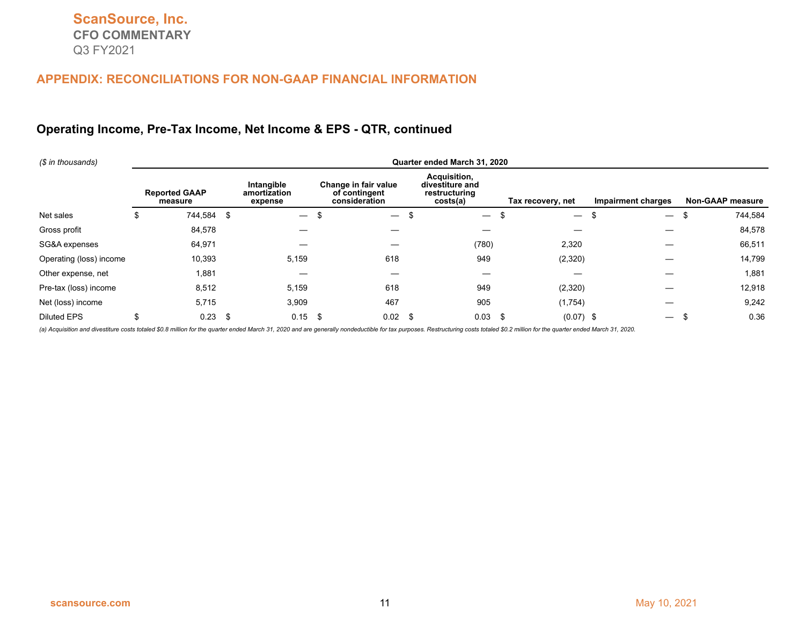## **Operating Income, Pre-Tax Income, Net Income & EPS - QTR, continued**

| (\$ in thousands)       | Quarter ended March 31, 2020    |      |                                       |   |                                                        |    |                                                              |  |                          |                                |                         |         |
|-------------------------|---------------------------------|------|---------------------------------------|---|--------------------------------------------------------|----|--------------------------------------------------------------|--|--------------------------|--------------------------------|-------------------------|---------|
|                         | <b>Reported GAAP</b><br>measure |      | Intangible<br>amortization<br>expense |   | Change in fair value<br>of contingent<br>consideration |    | Acquisition,<br>divestiture and<br>restructuring<br>costs(a) |  | Tax recovery, net        | <b>Impairment charges</b>      | <b>Non-GAAP measure</b> |         |
| Net sales               | \$<br>744,584                   | - \$ |                                       | ъ | $\overline{\phantom{m}}$                               | Φ  | $\qquad \qquad -$                                            |  | $\overline{\phantom{0}}$ | \$<br>$\overline{\phantom{m}}$ | ъ                       | 744,584 |
| Gross profit            | 84,578                          |      |                                       |   |                                                        |    |                                                              |  |                          |                                |                         | 84,578  |
| SG&A expenses           | 64,971                          |      |                                       |   |                                                        |    | (780)                                                        |  | 2,320                    |                                |                         | 66,511  |
| Operating (loss) income | 10,393                          |      | 5,159                                 |   | 618                                                    |    | 949                                                          |  | (2,320)                  |                                |                         | 14,799  |
| Other expense, net      | 1,881                           |      |                                       |   |                                                        |    |                                                              |  |                          |                                |                         | 1,881   |
| Pre-tax (loss) income   | 8,512                           |      | 5,159                                 |   | 618                                                    |    | 949                                                          |  | (2,320)                  |                                |                         | 12,918  |
| Net (loss) income       | 5,715                           |      | 3,909                                 |   | 467                                                    |    | 905                                                          |  | (1,754)                  |                                |                         | 9,242   |
| <b>Diluted EPS</b>      | 0.23                            | - \$ | $0.15$ \$                             |   | 0.02                                                   | \$ | 0.03                                                         |  | $(0.07)$ \$<br>- \$      | $\hspace{0.05cm}$              |                         | 0.36    |

(a) Acquisition and divestiture costs totaled \$0.8 million for the quarter ended March 31, 2020 and are generally nondeductible for tax purposes. Restructuring costs totaled \$0.2 million for the quarter ended March 31, 202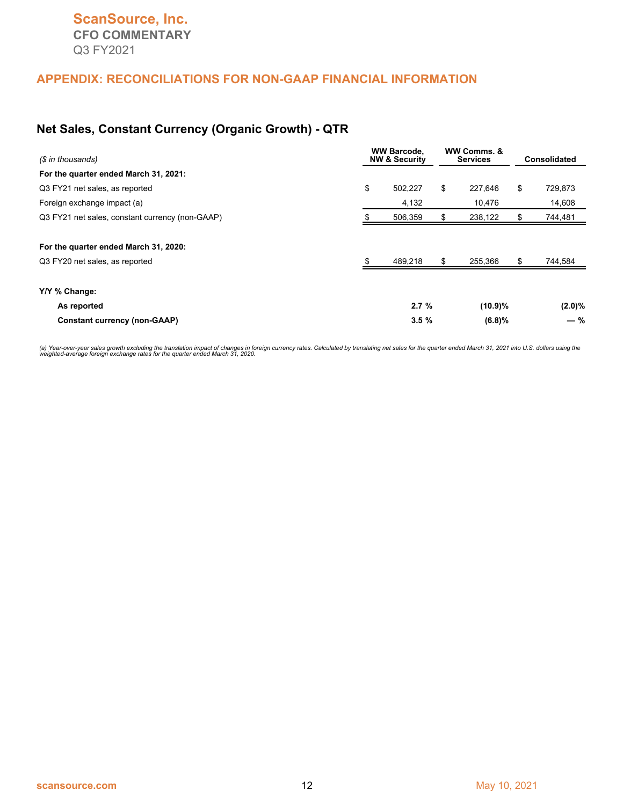#### **Net Sales, Constant Currency (Organic Growth) - QTR**

| (\$ in thousands)                               | <b>WW Barcode.</b><br><b>NW &amp; Security</b> |     |         | <b>Consolidated</b> |
|-------------------------------------------------|------------------------------------------------|-----|---------|---------------------|
| For the quarter ended March 31, 2021:           |                                                |     |         |                     |
| Q3 FY21 net sales, as reported                  | \$<br>502,227                                  | \$  | 227,646 | \$<br>729,873       |
| Foreign exchange impact (a)                     | 4,132                                          |     | 10,476  | 14,608              |
| Q3 FY21 net sales, constant currency (non-GAAP) | 506,359                                        |     | 238,122 | \$<br>744,481       |
| For the quarter ended March 31, 2020:           |                                                |     |         |                     |
| Q3 FY20 net sales, as reported                  | 489,218                                        | \$. | 255,366 | \$<br>744,584       |
| Y/Y % Change:                                   |                                                |     |         |                     |
| As reported                                     | 2.7%                                           |     | (10.9)% | $(2.0)\%$           |
| <b>Constant currency (non-GAAP)</b>             | 3.5%                                           |     | (6.8)%  | $-$ %               |

(a) Year-over-year sales growth excluding the translation impact of changes in foreign currency rates. Calculated by translating net sales for the quarter ended March 31, 2021 into U.S. dollars using the<br>weighted-average f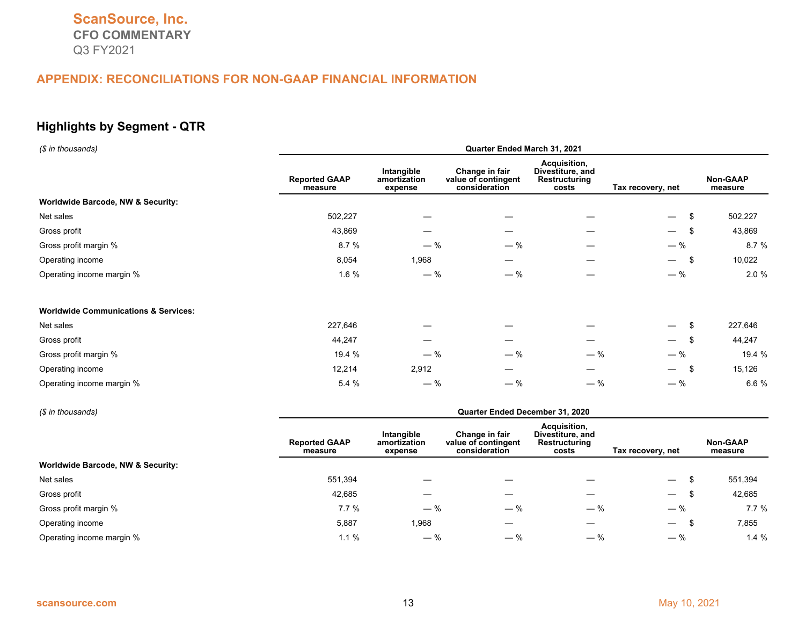# **Highlights by Segment - QTR**

| (\$ in thousands)                               | Quarter Ended March 31, 2021    |                                       |                                                        |                                                            |                                  |                            |  |  |  |  |
|-------------------------------------------------|---------------------------------|---------------------------------------|--------------------------------------------------------|------------------------------------------------------------|----------------------------------|----------------------------|--|--|--|--|
|                                                 | <b>Reported GAAP</b><br>measure | Intangible<br>amortization<br>expense | Change in fair<br>value of contingent<br>consideration | Acquisition,<br>Divestiture, and<br>Restructuring<br>costs | Tax recovery, net                | <b>Non-GAAP</b><br>measure |  |  |  |  |
| <b>Worldwide Barcode, NW &amp; Security:</b>    |                                 |                                       |                                                        |                                                            |                                  |                            |  |  |  |  |
| Net sales                                       | 502,227                         |                                       |                                                        |                                                            | \$<br>$\overline{\phantom{0}}$   | 502,227                    |  |  |  |  |
| Gross profit                                    | 43,869                          |                                       |                                                        |                                                            | - \$<br>$\overline{\phantom{0}}$ | 43,869                     |  |  |  |  |
| Gross profit margin %                           | 8.7%                            | $-$ %                                 | $-$ %                                                  |                                                            | $-$ %                            | 8.7 %                      |  |  |  |  |
| Operating income                                | 8,054                           | 1,968                                 | —                                                      |                                                            | -\$<br>$\overline{\phantom{m}}$  | 10,022                     |  |  |  |  |
| Operating income margin %                       | 1.6 %                           | $-$ %                                 | $-$ %                                                  |                                                            | $-$ %                            | 2.0 %                      |  |  |  |  |
| <b>Worldwide Communications &amp; Services:</b> |                                 |                                       |                                                        |                                                            |                                  |                            |  |  |  |  |
| Net sales                                       | 227,646                         |                                       |                                                        |                                                            | S<br>$\overline{\phantom{m}}$    | 227,646                    |  |  |  |  |
| Gross profit                                    | 44,247                          |                                       |                                                        |                                                            | - \$<br>$\overline{\phantom{m}}$ | 44,247                     |  |  |  |  |
| Gross profit margin %                           | 19.4 %                          | $-$ %                                 | $-$ %                                                  | $-$ %                                                      | $-$ %                            | 19.4 %                     |  |  |  |  |
| Operating income                                | 12,214                          | 2,912                                 |                                                        |                                                            | - \$<br>$\overline{\phantom{0}}$ | 15,126                     |  |  |  |  |
| Operating income margin %                       | 5.4 %                           | $-$ %                                 | $-$ %                                                  | $-$ %                                                      | $-$ %                            | 6.6 %                      |  |  |  |  |

| (\$ in thousands)                 | Quarter Ended December 31, 2020 |                                       |                                                        |                                                            |                                |                     |  |  |  |  |
|-----------------------------------|---------------------------------|---------------------------------------|--------------------------------------------------------|------------------------------------------------------------|--------------------------------|---------------------|--|--|--|--|
|                                   | <b>Reported GAAP</b><br>measure | Intangible<br>amortization<br>expense | Change in fair<br>value of contingent<br>consideration | Acquisition,<br>Divestiture, and<br>Restructuring<br>costs | Tax recovery, net              | Non-GAAP<br>measure |  |  |  |  |
| Worldwide Barcode, NW & Security: |                                 |                                       |                                                        |                                                            |                                |                     |  |  |  |  |
| Net sales                         | 551.394                         |                                       |                                                        |                                                            |                                | 551,394             |  |  |  |  |
| Gross profit                      | 42,685                          |                                       |                                                        |                                                            | $\overline{\phantom{0}}$       | 42,685              |  |  |  |  |
| Gross profit margin %             | 7.7%                            | $-$ %                                 | $-$ %                                                  | $-$ %                                                      | $-$ %                          | 7.7%                |  |  |  |  |
| Operating income                  | 5,887                           | 1,968                                 | –                                                      |                                                            | $\overline{\phantom{0}}$<br>.১ | 7,855               |  |  |  |  |
| Operating income margin %         | $1.1 \%$                        | $-$ %                                 | $-$ %                                                  | $-$ %                                                      | $-$ %                          | 1.4%                |  |  |  |  |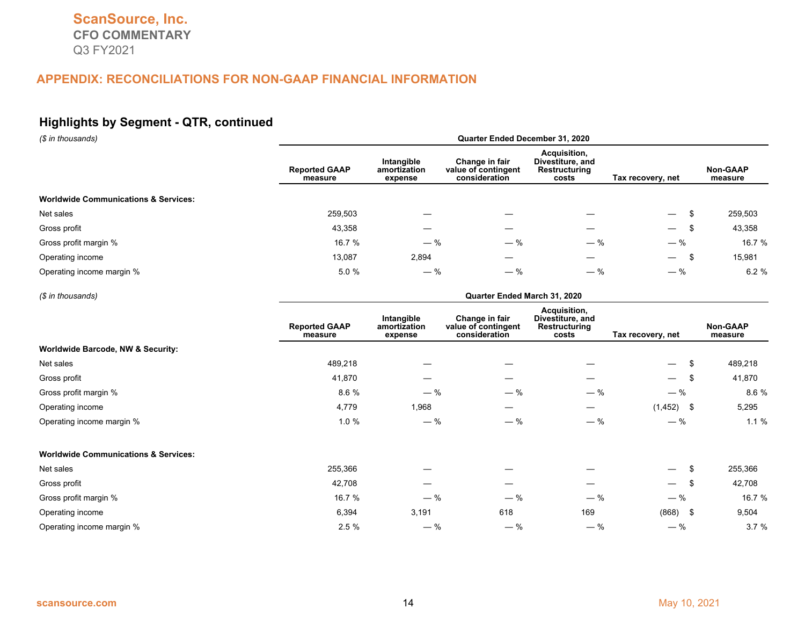# **Highlights by Segment - QTR, continued**

| (\$ in thousands)                               | Quarter Ended December 31, 2020 |                                       |                                                        |                                                            |                                  |                            |  |  |  |  |
|-------------------------------------------------|---------------------------------|---------------------------------------|--------------------------------------------------------|------------------------------------------------------------|----------------------------------|----------------------------|--|--|--|--|
|                                                 | <b>Reported GAAP</b><br>measure | Intangible<br>amortization<br>expense | Change in fair<br>value of contingent<br>consideration | Acquisition,<br>Divestiture, and<br>Restructuring<br>costs | Tax recovery, net                | <b>Non-GAAP</b><br>measure |  |  |  |  |
| <b>Worldwide Communications &amp; Services:</b> |                                 |                                       |                                                        |                                                            |                                  |                            |  |  |  |  |
| Net sales                                       | 259,503                         |                                       |                                                        |                                                            | $\overline{\phantom{0}}$         | 259,503                    |  |  |  |  |
| Gross profit                                    | 43,358                          |                                       |                                                        |                                                            | - \$<br>$\overline{\phantom{0}}$ | 43,358                     |  |  |  |  |
| Gross profit margin %                           | 16.7 %                          | $-$ %                                 | $-$ %                                                  | $-$ %                                                      | $-$ %                            | 16.7 %                     |  |  |  |  |
| Operating income                                | 13,087                          | 2,894                                 |                                                        |                                                            | - \$<br>$\overline{\phantom{0}}$ | 15,981                     |  |  |  |  |
| Operating income margin %                       | 5.0%                            | $-$ %                                 | $-$ %                                                  | $-$ %                                                      | $-$ %                            | 6.2%                       |  |  |  |  |

#### *(\$ in thousands)* **Quarter Ended March 31, 2020**

|                                                 | <b>Reported GAAP</b><br>measure | Intangible<br>amortization<br>expense | Change in fair<br>value of contingent<br>consideration | Acquisition,<br>Divestiture, and<br>Restructuring<br>costs | Tax recovery, net               | Non-GAAP<br>measure |
|-------------------------------------------------|---------------------------------|---------------------------------------|--------------------------------------------------------|------------------------------------------------------------|---------------------------------|---------------------|
| <b>Worldwide Barcode, NW &amp; Security:</b>    |                                 |                                       |                                                        |                                                            |                                 |                     |
| Net sales                                       | 489,218                         |                                       |                                                        |                                                            | \$<br>$\overline{\phantom{0}}$  | 489,218             |
| Gross profit                                    | 41,870                          |                                       |                                                        |                                                            | -\$<br>$\overline{\phantom{0}}$ | 41,870              |
| Gross profit margin %                           | 8.6%                            | $-$ %                                 | $-$ %                                                  | $-$ %                                                      | $-$ %                           | 8.6%                |
| Operating income                                | 4,779                           | 1,968                                 | —                                                      | $\hspace{0.05cm}$                                          | $(1,452)$ \$                    | 5,295               |
| Operating income margin %                       | $1.0 \%$                        | $-$ %                                 | $-$ %                                                  | $-$ %                                                      | $-$ %                           | 1.1%                |
| <b>Worldwide Communications &amp; Services:</b> |                                 |                                       |                                                        |                                                            |                                 |                     |
| Net sales                                       | 255,366                         |                                       |                                                        |                                                            | \$<br>$\overline{\phantom{m}}$  | 255,366             |
| Gross profit                                    | 42,708                          |                                       | —                                                      |                                                            | -\$<br>$\overline{\phantom{m}}$ | 42,708              |
| Gross profit margin %                           | 16.7 %                          | $-$ %                                 | $-$ %                                                  | $-$ %                                                      | $-$ %                           | 16.7 %              |
| Operating income                                | 6,394                           | 3,191                                 | 618                                                    | 169                                                        | $(868)$ \$                      | 9,504               |
| Operating income margin %                       | 2.5%                            | $-$ %                                 | $-$ %                                                  | $-$ %                                                      | $-$ %                           | 3.7%                |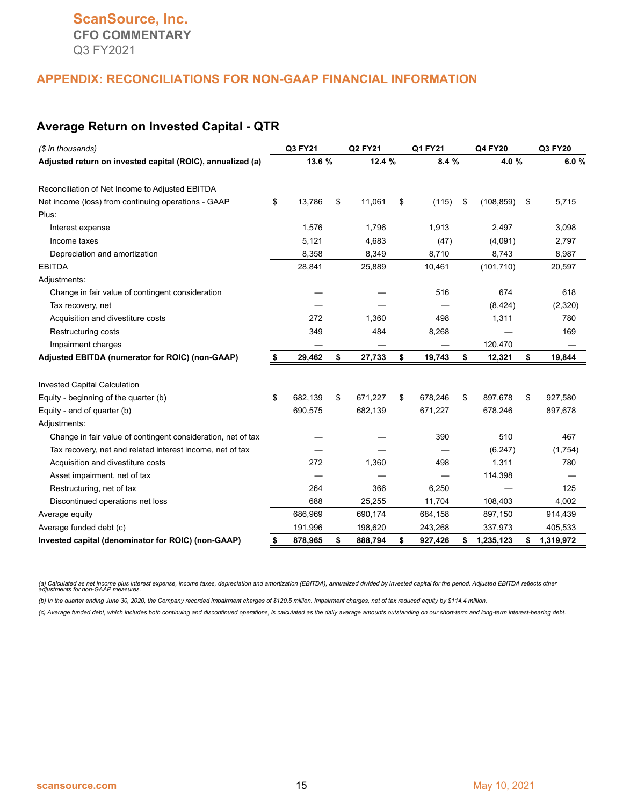#### **Average Return on Invested Capital - QTR**

| (\$ in thousands)                                            |    | Q3 FY21 |    | Q2 FY21 |    | Q1 FY21 |    | Q4 FY20    |    | Q3 FY20   |
|--------------------------------------------------------------|----|---------|----|---------|----|---------|----|------------|----|-----------|
| Adjusted return on invested capital (ROIC), annualized (a)   |    | 13.6 %  |    | 12.4 %  |    | 8.4 %   |    | 4.0%       |    | 6.0%      |
| Reconciliation of Net Income to Adjusted EBITDA              |    |         |    |         |    |         |    |            |    |           |
| Net income (loss) from continuing operations - GAAP          | \$ | 13,786  | \$ | 11,061  | \$ | (115)   | \$ | (108, 859) | \$ | 5,715     |
| Plus:                                                        |    |         |    |         |    |         |    |            |    |           |
| Interest expense                                             |    | 1,576   |    | 1,796   |    | 1,913   |    | 2,497      |    | 3,098     |
| Income taxes                                                 |    | 5,121   |    | 4,683   |    | (47)    |    | (4,091)    |    | 2,797     |
| Depreciation and amortization                                |    | 8,358   |    | 8,349   |    | 8,710   |    | 8,743      |    | 8,987     |
| <b>EBITDA</b>                                                |    | 28,841  |    | 25,889  |    | 10,461  |    | (101, 710) |    | 20,597    |
| Adjustments:                                                 |    |         |    |         |    |         |    |            |    |           |
| Change in fair value of contingent consideration             |    |         |    |         |    | 516     |    | 674        |    | 618       |
| Tax recovery, net                                            |    |         |    |         |    |         |    | (8, 424)   |    | (2,320)   |
| Acquisition and divestiture costs                            |    | 272     |    | 1,360   |    | 498     |    | 1,311      |    | 780       |
| <b>Restructuring costs</b>                                   |    | 349     |    | 484     |    | 8,268   |    |            |    | 169       |
| Impairment charges                                           |    |         |    |         |    |         |    | 120,470    |    |           |
| Adjusted EBITDA (numerator for ROIC) (non-GAAP)              | \$ | 29,462  | \$ | 27,733  | \$ | 19,743  | \$ | 12,321     | \$ | 19,844    |
| <b>Invested Capital Calculation</b>                          |    |         |    |         |    |         |    |            |    |           |
| Equity - beginning of the quarter (b)                        | \$ | 682,139 | \$ | 671,227 | \$ | 678,246 | \$ | 897,678    | \$ | 927,580   |
| Equity - end of quarter (b)                                  |    | 690,575 |    | 682,139 |    | 671,227 |    | 678,246    |    | 897,678   |
| Adjustments:                                                 |    |         |    |         |    |         |    |            |    |           |
| Change in fair value of contingent consideration, net of tax |    |         |    |         |    | 390     |    | 510        |    | 467       |
| Tax recovery, net and related interest income, net of tax    |    |         |    |         |    |         |    | (6, 247)   |    | (1,754)   |
| Acquisition and divestiture costs                            |    | 272     |    | 1,360   |    | 498     |    | 1,311      |    | 780       |
| Asset impairment, net of tax                                 |    |         |    |         |    |         |    | 114,398    |    |           |
| Restructuring, net of tax                                    |    | 264     |    | 366     |    | 6,250   |    |            |    | 125       |
| Discontinued operations net loss                             |    | 688     |    | 25,255  |    | 11,704  |    | 108,403    |    | 4,002     |
| Average equity                                               |    | 686,969 |    | 690,174 |    | 684,158 |    | 897,150    |    | 914,439   |
| Average funded debt (c)                                      |    | 191,996 |    | 198,620 |    | 243,268 |    | 337,973    |    | 405,533   |
| Invested capital (denominator for ROIC) (non-GAAP)           | \$ | 878,965 | \$ | 888,794 | \$ | 927,426 | \$ | 1,235,123  | \$ | 1,319,972 |

(a) Calculated as net income plus interest expense, income taxes, depreciation and amortization (EBITDA), annualized divided by invested capital for the period. Adjusted EBITDA reflects other<br>adjustments for non-GAAP measu

*(b) In the quarter ending June 30, 2020, the Company recorded impairment charges of \$120.5 million. Impairment charges, net of tax reduced equity by \$114.4 million.*

*(c) Average funded debt, which includes both continuing and discontinued operations, is calculated as the daily average amounts outstanding on our short-term and long-term interest-bearing debt.*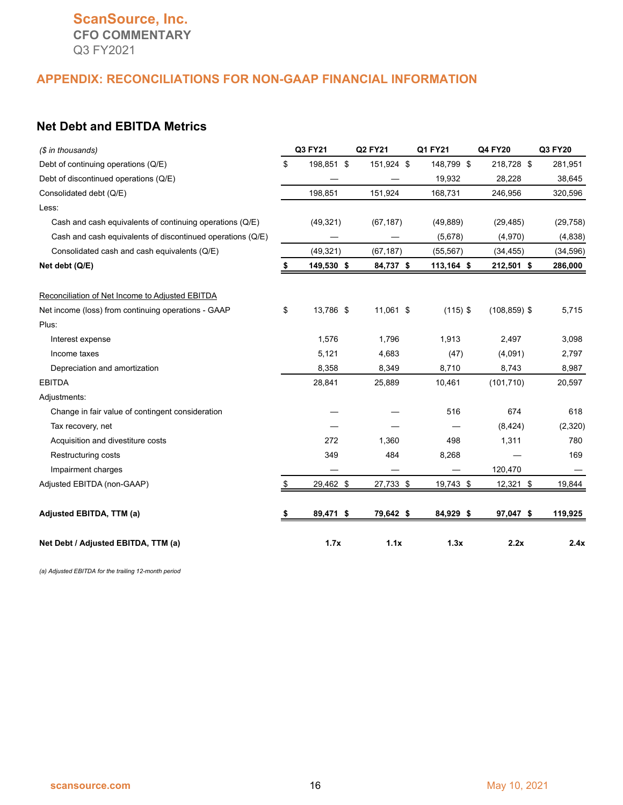# **ScanSource, Inc. CFO COMMENTARY** Q3 FY2021

#### **APPENDIX: RECONCILIATIONS FOR NON-GAAP FINANCIAL INFORMATION**

# **Net Debt and EBITDA Metrics**

| (\$ in thousands)                                          | Q3 FY21          | Q2 FY21    |      | Q1 FY21    | Q4 FY20         | Q3 FY20   |
|------------------------------------------------------------|------------------|------------|------|------------|-----------------|-----------|
| Debt of continuing operations (Q/E)                        | \$<br>198,851 \$ | 151,924 \$ |      | 148,799 \$ | 218,728 \$      | 281,951   |
| Debt of discontinued operations (Q/E)                      |                  |            |      | 19,932     | 28,228          | 38,645    |
| Consolidated debt (Q/E)                                    | 198,851          | 151,924    |      | 168,731    | 246,956         | 320,596   |
| Less:                                                      |                  |            |      |            |                 |           |
| Cash and cash equivalents of continuing operations (Q/E)   | (49, 321)        | (67, 187)  |      | (49, 889)  | (29, 485)       | (29, 758) |
| Cash and cash equivalents of discontinued operations (Q/E) |                  |            |      | (5,678)    | (4,970)         | (4,838)   |
| Consolidated cash and cash equivalents (Q/E)               | (49, 321)        | (67, 187)  |      | (55, 567)  | (34, 455)       | (34, 596) |
| Net debt (Q/E)                                             | 149,530 \$       | 84,737 \$  |      | 113,164 \$ | 212,501 \$      | 286,000   |
| Reconciliation of Net Income to Adjusted EBITDA            |                  |            |      |            |                 |           |
| Net income (loss) from continuing operations - GAAP        | \$<br>13,786 \$  | 11,061 \$  |      | $(115)$ \$ | $(108, 859)$ \$ | 5,715     |
| Plus:                                                      |                  |            |      |            |                 |           |
| Interest expense                                           | 1,576            | 1,796      |      | 1,913      | 2,497           | 3,098     |
| Income taxes                                               | 5,121            | 4,683      |      | (47)       | (4,091)         | 2,797     |
| Depreciation and amortization                              | 8,358            | 8,349      |      | 8,710      | 8,743           | 8,987     |
| <b>EBITDA</b>                                              | 28,841           | 25,889     |      | 10,461     | (101, 710)      | 20,597    |
| Adjustments:                                               |                  |            |      |            |                 |           |
| Change in fair value of contingent consideration           |                  |            |      | 516        | 674             | 618       |
| Tax recovery, net                                          |                  |            |      |            | (8, 424)        | (2,320)   |
| Acquisition and divestiture costs                          | 272              | 1,360      |      | 498        | 1,311           | 780       |
| <b>Restructuring costs</b>                                 | 349              | 484        |      | 8,268      |                 | 169       |
| Impairment charges                                         |                  |            |      |            | 120,470         |           |
| Adjusted EBITDA (non-GAAP)                                 | \$<br>29,462 \$  | 27,733 \$  |      | 19,743 \$  | 12,321 \$       | 19,844    |
| Adjusted EBITDA, TTM (a)                                   | 89,471 \$        | 79,642 \$  |      | 84,929 \$  | 97,047 \$       | 119,925   |
| Net Debt / Adjusted EBITDA, TTM (a)                        | 1.7x             |            | 1.1x | 1.3x       | 2.2x            | 2.4x      |

*(a) Adjusted EBITDA for the trailing 12-month period*